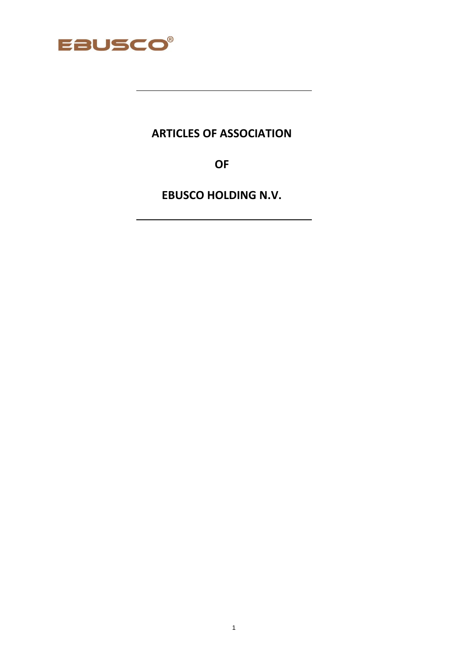

# **ARTICLES OF ASSOCIATION**

**OF** 

**EBUSCO HOLDING N.V.**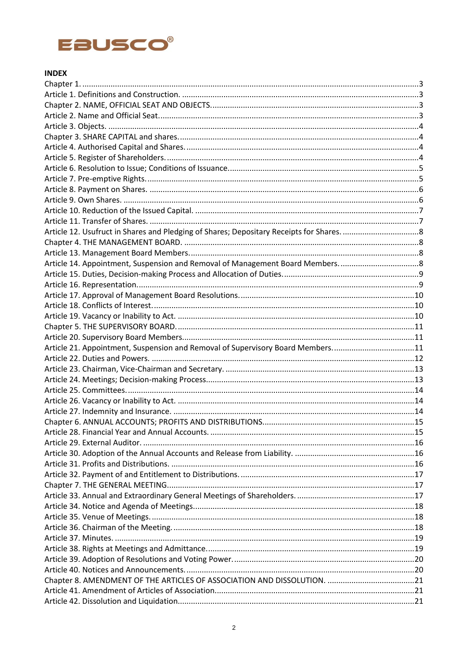

# **INDEX**

| Article 21. Appointment, Suspension and Removal of Supervisory Board Members11 |  |
|--------------------------------------------------------------------------------|--|
|                                                                                |  |
|                                                                                |  |
|                                                                                |  |
|                                                                                |  |
|                                                                                |  |
|                                                                                |  |
|                                                                                |  |
| Article 28. Financial Year and Annual Accounts                                 |  |
|                                                                                |  |
|                                                                                |  |
|                                                                                |  |
|                                                                                |  |
|                                                                                |  |
|                                                                                |  |
|                                                                                |  |
|                                                                                |  |
|                                                                                |  |
|                                                                                |  |
|                                                                                |  |
|                                                                                |  |
|                                                                                |  |
|                                                                                |  |
|                                                                                |  |
|                                                                                |  |
|                                                                                |  |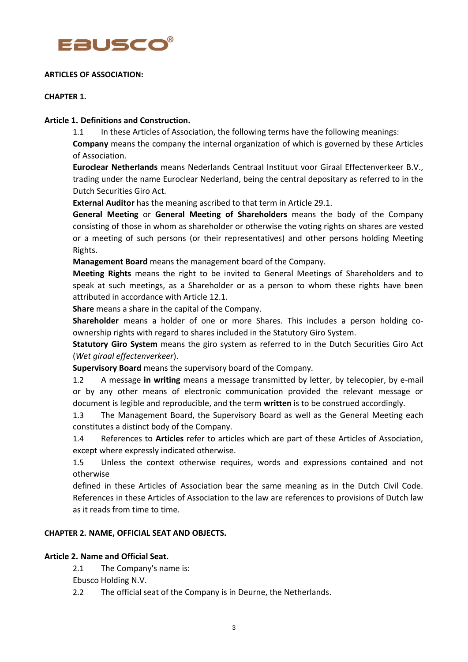

### **ARTICLES OF ASSOCIATION:**

## **CHAPTER 1.**

## **Article 1. Definitions and Construction.**

1.1 In these Articles of Association, the following terms have the following meanings: **Company** means the company the internal organization of which is governed by these Articles of Association.

**Euroclear Netherlands** means Nederlands Centraal Instituut voor Giraal Effectenverkeer B.V., trading under the name Euroclear Nederland, being the central depositary as referred to in the Dutch Securities Giro Act*.*

**External Auditor** has the meaning ascribed to that term in Article 29.1.

**General Meeting** or **General Meeting of Shareholders** means the body of the Company consisting of those in whom as shareholder or otherwise the voting rights on shares are vested or a meeting of such persons (or their representatives) and other persons holding Meeting Rights.

**Management Board** means the management board of the Company.

**Meeting Rights** means the right to be invited to General Meetings of Shareholders and to speak at such meetings, as a Shareholder or as a person to whom these rights have been attributed in accordance with Article 12.1.

**Share** means a share in the capital of the Company.

**Shareholder** means a holder of one or more Shares. This includes a person holding coownership rights with regard to shares included in the Statutory Giro System.

**Statutory Giro System** means the giro system as referred to in the Dutch Securities Giro Act (*Wet giraal effectenverkeer*).

**Supervisory Board** means the supervisory board of the Company.

1.2 A message **in writing** means a message transmitted by letter, by telecopier, by e-mail or by any other means of electronic communication provided the relevant message or document is legible and reproducible, and the term **written** is to be construed accordingly.

1.3 The Management Board, the Supervisory Board as well as the General Meeting each constitutes a distinct body of the Company.

1.4 References to **Articles** refer to articles which are part of these Articles of Association, except where expressly indicated otherwise.

1.5 Unless the context otherwise requires, words and expressions contained and not otherwise

defined in these Articles of Association bear the same meaning as in the Dutch Civil Code. References in these Articles of Association to the law are references to provisions of Dutch law as it reads from time to time.

# **CHAPTER 2. NAME, OFFICIAL SEAT AND OBJECTS.**

# **Article 2. Name and Official Seat.**

2.1 The Company's name is:

Ebusco Holding N.V.

2.2 The official seat of the Company is in Deurne, the Netherlands.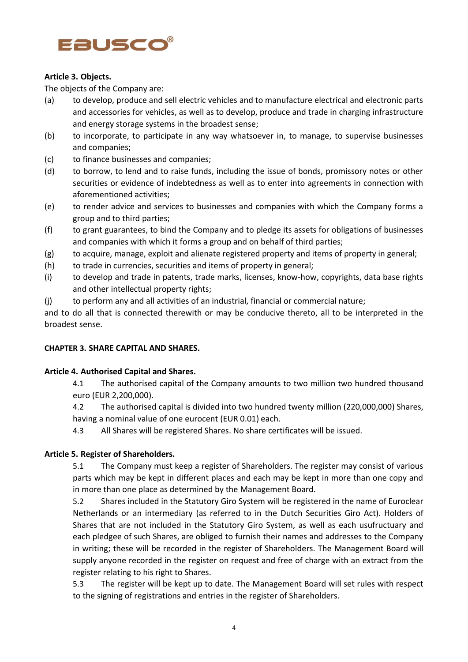

# **Article 3. Objects.**

The objects of the Company are:

- (a) to develop, produce and sell electric vehicles and to manufacture electrical and electronic parts and accessories for vehicles, as well as to develop, produce and trade in charging infrastructure and energy storage systems in the broadest sense;
- (b) to incorporate, to participate in any way whatsoever in, to manage, to supervise businesses and companies;
- (c) to finance businesses and companies;
- (d) to borrow, to lend and to raise funds, including the issue of bonds, promissory notes or other securities or evidence of indebtedness as well as to enter into agreements in connection with aforementioned activities;
- (e) to render advice and services to businesses and companies with which the Company forms a group and to third parties;
- (f) to grant guarantees, to bind the Company and to pledge its assets for obligations of businesses and companies with which it forms a group and on behalf of third parties;
- (g) to acquire, manage, exploit and alienate registered property and items of property in general;
- (h) to trade in currencies, securities and items of property in general;
- (i) to develop and trade in patents, trade marks, licenses, know-how, copyrights, data base rights and other intellectual property rights;
- (j) to perform any and all activities of an industrial, financial or commercial nature;

and to do all that is connected therewith or may be conducive thereto, all to be interpreted in the broadest sense.

# **CHAPTER 3. SHARE CAPITAL AND SHARES.**

# **Article 4. Authorised Capital and Shares.**

4.1 The authorised capital of the Company amounts to two million two hundred thousand euro (EUR 2,200,000).

4.2 The authorised capital is divided into two hundred twenty million (220,000,000) Shares, having a nominal value of one eurocent (EUR 0.01) each.

4.3 All Shares will be registered Shares. No share certificates will be issued.

# **Article 5. Register of Shareholders.**

5.1 The Company must keep a register of Shareholders. The register may consist of various parts which may be kept in different places and each may be kept in more than one copy and in more than one place as determined by the Management Board.

5.2 Shares included in the Statutory Giro System will be registered in the name of Euroclear Netherlands or an intermediary (as referred to in the Dutch Securities Giro Act). Holders of Shares that are not included in the Statutory Giro System, as well as each usufructuary and each pledgee of such Shares, are obliged to furnish their names and addresses to the Company in writing; these will be recorded in the register of Shareholders. The Management Board will supply anyone recorded in the register on request and free of charge with an extract from the register relating to his right to Shares.

5.3 The register will be kept up to date. The Management Board will set rules with respect to the signing of registrations and entries in the register of Shareholders.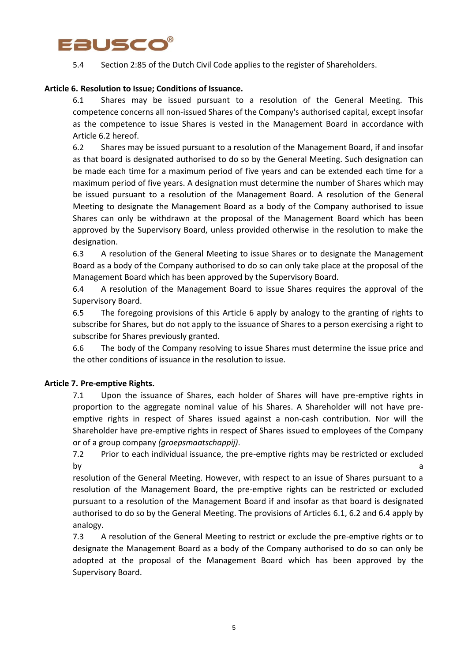

5.4 Section 2:85 of the Dutch Civil Code applies to the register of Shareholders.

## **Article 6. Resolution to Issue; Conditions of Issuance.**

6.1 Shares may be issued pursuant to a resolution of the General Meeting. This competence concerns all non-issued Shares of the Company's authorised capital, except insofar as the competence to issue Shares is vested in the Management Board in accordance with Article 6.2 hereof.

6.2 Shares may be issued pursuant to a resolution of the Management Board, if and insofar as that board is designated authorised to do so by the General Meeting. Such designation can be made each time for a maximum period of five years and can be extended each time for a maximum period of five years. A designation must determine the number of Shares which may be issued pursuant to a resolution of the Management Board. A resolution of the General Meeting to designate the Management Board as a body of the Company authorised to issue Shares can only be withdrawn at the proposal of the Management Board which has been approved by the Supervisory Board, unless provided otherwise in the resolution to make the designation.

6.3 A resolution of the General Meeting to issue Shares or to designate the Management Board as a body of the Company authorised to do so can only take place at the proposal of the Management Board which has been approved by the Supervisory Board.

6.4 A resolution of the Management Board to issue Shares requires the approval of the Supervisory Board.

6.5 The foregoing provisions of this Article 6 apply by analogy to the granting of rights to subscribe for Shares, but do not apply to the issuance of Shares to a person exercising a right to subscribe for Shares previously granted.

6.6 The body of the Company resolving to issue Shares must determine the issue price and the other conditions of issuance in the resolution to issue.

#### **Article 7. Pre-emptive Rights.**

7.1 Upon the issuance of Shares, each holder of Shares will have pre-emptive rights in proportion to the aggregate nominal value of his Shares. A Shareholder will not have preemptive rights in respect of Shares issued against a non-cash contribution. Nor will the Shareholder have pre-emptive rights in respect of Shares issued to employees of the Company or of a group company *(groepsmaatschappij)*.

7.2 Prior to each individual issuance, the pre-emptive rights may be restricted or excluded by a structure of the structure of the structure of the structure of the structure of the structure of the structure of the structure of the structure of the structure of the structure of the structure of the structure of

resolution of the General Meeting. However, with respect to an issue of Shares pursuant to a resolution of the Management Board, the pre-emptive rights can be restricted or excluded pursuant to a resolution of the Management Board if and insofar as that board is designated authorised to do so by the General Meeting. The provisions of Articles 6.1, 6.2 and 6.4 apply by analogy.

7.3 A resolution of the General Meeting to restrict or exclude the pre-emptive rights or to designate the Management Board as a body of the Company authorised to do so can only be adopted at the proposal of the Management Board which has been approved by the Supervisory Board.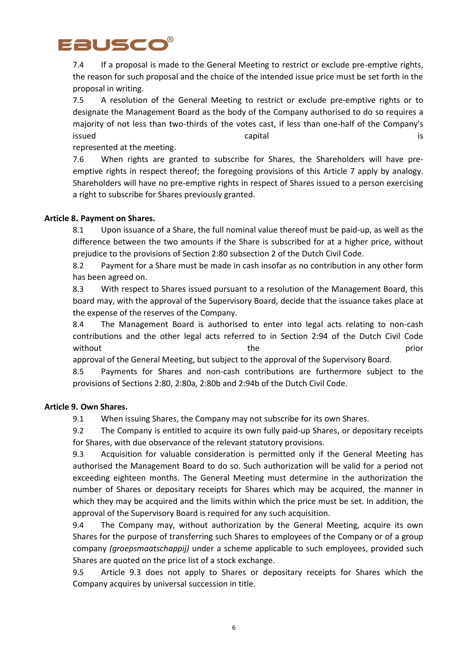

7.4 If a proposal is made to the General Meeting to restrict or exclude pre-emptive rights, the reason for such proposal and the choice of the intended issue price must be set forth in the proposal in writing.

7.5 A resolution of the General Meeting to restrict or exclude pre-emptive rights or to designate the Management Board as the body of the Company authorised to do so requires a majority of not less than two-thirds of the votes cast, if less than one-half of the Company's issued is a capital capital is a capital is a capital is a capital is a capital is  $\sim$ 

represented at the meeting.

7.6 When rights are granted to subscribe for Shares, the Shareholders will have preemptive rights in respect thereof; the foregoing provisions of this Article 7 apply by analogy. Shareholders will have no pre-emptive rights in respect of Shares issued to a person exercising a right to subscribe for Shares previously granted.

# **Article 8. Payment on Shares.**

8.1 Upon issuance of a Share, the full nominal value thereof must be paid-up, as well as the difference between the two amounts if the Share is subscribed for at a higher price, without prejudice to the provisions of Section 2:80 subsection 2 of the Dutch Civil Code.

8.2 Payment for a Share must be made in cash insofar as no contribution in any other form has been agreed on.

8.3 With respect to Shares issued pursuant to a resolution of the Management Board, this board may, with the approval of the Supervisory Board, decide that the issuance takes place at the expense of the reserves of the Company.

8.4 The Management Board is authorised to enter into legal acts relating to non-cash contributions and the other legal acts referred to in Section 2:94 of the Dutch Civil Code without the prior and the prior of  $\mathbf{r}$ 

approval of the General Meeting, but subject to the approval of the Supervisory Board.

8.5 Payments for Shares and non-cash contributions are furthermore subject to the provisions of Sections 2:80, 2:80a, 2:80b and 2:94b of the Dutch Civil Code.

# **Article 9. Own Shares.**

9.1 When issuing Shares, the Company may not subscribe for its own Shares.

9.2 The Company is entitled to acquire its own fully paid-up Shares, or depositary receipts for Shares, with due observance of the relevant statutory provisions.

9.3 Acquisition for valuable consideration is permitted only if the General Meeting has authorised the Management Board to do so. Such authorization will be valid for a period not exceeding eighteen months. The General Meeting must determine in the authorization the number of Shares or depositary receipts for Shares which may be acquired, the manner in which they may be acquired and the limits within which the price must be set. In addition, the approval of the Supervisory Board is required for any such acquisition.

9.4 The Company may, without authorization by the General Meeting, acquire its own Shares for the purpose of transferring such Shares to employees of the Company or of a group company *(groepsmaatschappij)* under a scheme applicable to such employees, provided such Shares are quoted on the price list of a stock exchange.

9.5 Article 9.3 does not apply to Shares or depositary receipts for Shares which the Company acquires by universal succession in title.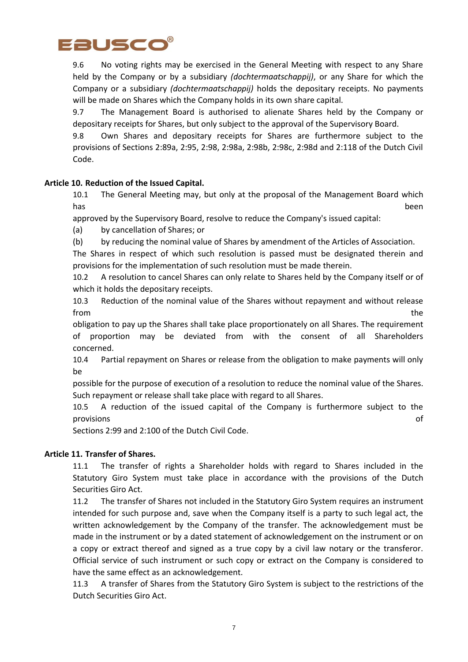

9.6 No voting rights may be exercised in the General Meeting with respect to any Share held by the Company or by a subsidiary *(dochtermaatschappij)*, or any Share for which the Company or a subsidiary *(dochtermaatschappij)* holds the depositary receipts. No payments will be made on Shares which the Company holds in its own share capital.

9.7 The Management Board is authorised to alienate Shares held by the Company or depositary receipts for Shares, but only subject to the approval of the Supervisory Board.

9.8 Own Shares and depositary receipts for Shares are furthermore subject to the provisions of Sections 2:89a, 2:95, 2:98, 2:98a, 2:98b, 2:98c, 2:98d and 2:118 of the Dutch Civil Code.

# **Article 10. Reduction of the Issued Capital.**

10.1 The General Meeting may, but only at the proposal of the Management Board which has been

approved by the Supervisory Board, resolve to reduce the Company's issued capital:

(a) by cancellation of Shares; or

(b) by reducing the nominal value of Shares by amendment of the Articles of Association.

The Shares in respect of which such resolution is passed must be designated therein and provisions for the implementation of such resolution must be made therein.

10.2 A resolution to cancel Shares can only relate to Shares held by the Company itself or of which it holds the depositary receipts.

10.3 Reduction of the nominal value of the Shares without repayment and without release from the state of the state of the state of the state of the state of the state of the state of the state of the state of the state of the state of the state of the state of the state of the state of the state of the state

obligation to pay up the Shares shall take place proportionately on all Shares. The requirement of proportion may be deviated from with the consent of all Shareholders concerned.

10.4 Partial repayment on Shares or release from the obligation to make payments will only be

possible for the purpose of execution of a resolution to reduce the nominal value of the Shares. Such repayment or release shall take place with regard to all Shares.

10.5 A reduction of the issued capital of the Company is furthermore subject to the provisions of

Sections 2:99 and 2:100 of the Dutch Civil Code.

#### **Article 11. Transfer of Shares.**

11.1 The transfer of rights a Shareholder holds with regard to Shares included in the Statutory Giro System must take place in accordance with the provisions of the Dutch Securities Giro Act.

11.2 The transfer of Shares not included in the Statutory Giro System requires an instrument intended for such purpose and, save when the Company itself is a party to such legal act, the written acknowledgement by the Company of the transfer. The acknowledgement must be made in the instrument or by a dated statement of acknowledgement on the instrument or on a copy or extract thereof and signed as a true copy by a civil law notary or the transferor. Official service of such instrument or such copy or extract on the Company is considered to have the same effect as an acknowledgement.

11.3 A transfer of Shares from the Statutory Giro System is subject to the restrictions of the Dutch Securities Giro Act.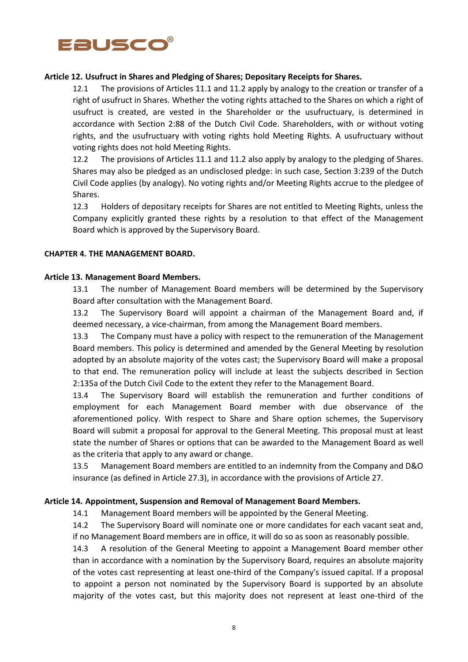

## **Article 12. Usufruct in Shares and Pledging of Shares; Depositary Receipts for Shares.**

12.1 The provisions of Articles 11.1 and 11.2 apply by analogy to the creation or transfer of a right of usufruct in Shares. Whether the voting rights attached to the Shares on which a right of usufruct is created, are vested in the Shareholder or the usufructuary, is determined in accordance with Section 2:88 of the Dutch Civil Code. Shareholders, with or without voting rights, and the usufructuary with voting rights hold Meeting Rights. A usufructuary without voting rights does not hold Meeting Rights.

12.2 The provisions of Articles 11.1 and 11.2 also apply by analogy to the pledging of Shares. Shares may also be pledged as an undisclosed pledge: in such case, Section 3:239 of the Dutch Civil Code applies (by analogy). No voting rights and/or Meeting Rights accrue to the pledgee of Shares.

12.3 Holders of depositary receipts for Shares are not entitled to Meeting Rights, unless the Company explicitly granted these rights by a resolution to that effect of the Management Board which is approved by the Supervisory Board.

#### **CHAPTER 4. THE MANAGEMENT BOARD.**

#### **Article 13. Management Board Members.**

13.1 The number of Management Board members will be determined by the Supervisory Board after consultation with the Management Board.

13.2 The Supervisory Board will appoint a chairman of the Management Board and, if deemed necessary, a vice-chairman, from among the Management Board members.

13.3 The Company must have a policy with respect to the remuneration of the Management Board members. This policy is determined and amended by the General Meeting by resolution adopted by an absolute majority of the votes cast; the Supervisory Board will make a proposal to that end. The remuneration policy will include at least the subjects described in Section 2:135a of the Dutch Civil Code to the extent they refer to the Management Board.

13.4 The Supervisory Board will establish the remuneration and further conditions of employment for each Management Board member with due observance of the aforementioned policy. With respect to Share and Share option schemes, the Supervisory Board will submit a proposal for approval to the General Meeting. This proposal must at least state the number of Shares or options that can be awarded to the Management Board as well as the criteria that apply to any award or change.

13.5 Management Board members are entitled to an indemnity from the Company and D&O insurance (as defined in Article 27.3), in accordance with the provisions of Article 27.

#### **Article 14. Appointment, Suspension and Removal of Management Board Members.**

14.1 Management Board members will be appointed by the General Meeting.

14.2 The Supervisory Board will nominate one or more candidates for each vacant seat and, if no Management Board members are in office, it will do so as soon as reasonably possible.

14.3 A resolution of the General Meeting to appoint a Management Board member other than in accordance with a nomination by the Supervisory Board, requires an absolute majority of the votes cast representing at least one-third of the Company's issued capital. If a proposal to appoint a person not nominated by the Supervisory Board is supported by an absolute majority of the votes cast, but this majority does not represent at least one-third of the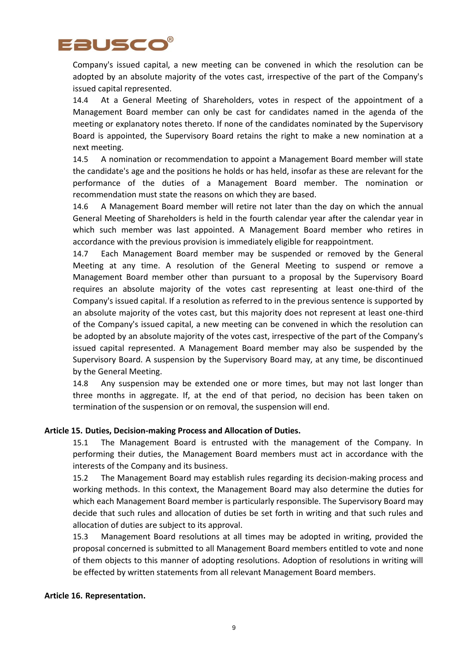

Company's issued capital, a new meeting can be convened in which the resolution can be adopted by an absolute majority of the votes cast, irrespective of the part of the Company's issued capital represented.

14.4 At a General Meeting of Shareholders, votes in respect of the appointment of a Management Board member can only be cast for candidates named in the agenda of the meeting or explanatory notes thereto. If none of the candidates nominated by the Supervisory Board is appointed, the Supervisory Board retains the right to make a new nomination at a next meeting.

14.5 A nomination or recommendation to appoint a Management Board member will state the candidate's age and the positions he holds or has held, insofar as these are relevant for the performance of the duties of a Management Board member. The nomination or recommendation must state the reasons on which they are based.

14.6 A Management Board member will retire not later than the day on which the annual General Meeting of Shareholders is held in the fourth calendar year after the calendar year in which such member was last appointed. A Management Board member who retires in accordance with the previous provision is immediately eligible for reappointment.

14.7 Each Management Board member may be suspended or removed by the General Meeting at any time. A resolution of the General Meeting to suspend or remove a Management Board member other than pursuant to a proposal by the Supervisory Board requires an absolute majority of the votes cast representing at least one-third of the Company's issued capital. If a resolution as referred to in the previous sentence is supported by an absolute majority of the votes cast, but this majority does not represent at least one-third of the Company's issued capital, a new meeting can be convened in which the resolution can be adopted by an absolute majority of the votes cast, irrespective of the part of the Company's issued capital represented. A Management Board member may also be suspended by the Supervisory Board. A suspension by the Supervisory Board may, at any time, be discontinued by the General Meeting.

14.8 Any suspension may be extended one or more times, but may not last longer than three months in aggregate. If, at the end of that period, no decision has been taken on termination of the suspension or on removal, the suspension will end.

# **Article 15. Duties, Decision-making Process and Allocation of Duties.**

15.1 The Management Board is entrusted with the management of the Company. In performing their duties, the Management Board members must act in accordance with the interests of the Company and its business.

15.2 The Management Board may establish rules regarding its decision-making process and working methods. In this context, the Management Board may also determine the duties for which each Management Board member is particularly responsible. The Supervisory Board may decide that such rules and allocation of duties be set forth in writing and that such rules and allocation of duties are subject to its approval.

15.3 Management Board resolutions at all times may be adopted in writing, provided the proposal concerned is submitted to all Management Board members entitled to vote and none of them objects to this manner of adopting resolutions. Adoption of resolutions in writing will be effected by written statements from all relevant Management Board members.

#### **Article 16. Representation.**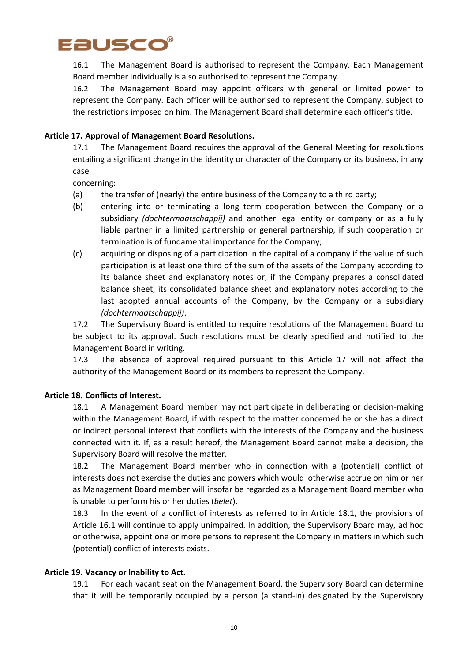

16.1 The Management Board is authorised to represent the Company. Each Management Board member individually is also authorised to represent the Company.

16.2 The Management Board may appoint officers with general or limited power to represent the Company. Each officer will be authorised to represent the Company, subject to the restrictions imposed on him. The Management Board shall determine each officer's title.

## **Article 17. Approval of Management Board Resolutions.**

17.1 The Management Board requires the approval of the General Meeting for resolutions entailing a significant change in the identity or character of the Company or its business, in any case

concerning:

- (a) the transfer of (nearly) the entire business of the Company to a third party;
- (b) entering into or terminating a long term cooperation between the Company or a subsidiary *(dochtermaatschappij)* and another legal entity or company or as a fully liable partner in a limited partnership or general partnership, if such cooperation or termination is of fundamental importance for the Company;
- (c) acquiring or disposing of a participation in the capital of a company if the value of such participation is at least one third of the sum of the assets of the Company according to its balance sheet and explanatory notes or, if the Company prepares a consolidated balance sheet, its consolidated balance sheet and explanatory notes according to the last adopted annual accounts of the Company, by the Company or a subsidiary *(dochtermaatschappij)*.

17.2 The Supervisory Board is entitled to require resolutions of the Management Board to be subject to its approval. Such resolutions must be clearly specified and notified to the Management Board in writing.

17.3 The absence of approval required pursuant to this Article 17 will not affect the authority of the Management Board or its members to represent the Company.

#### **Article 18. Conflicts of Interest.**

18.1 A Management Board member may not participate in deliberating or decision-making within the Management Board, if with respect to the matter concerned he or she has a direct or indirect personal interest that conflicts with the interests of the Company and the business connected with it. If, as a result hereof, the Management Board cannot make a decision, the Supervisory Board will resolve the matter.

18.2 The Management Board member who in connection with a (potential) conflict of interests does not exercise the duties and powers which would otherwise accrue on him or her as Management Board member will insofar be regarded as a Management Board member who is unable to perform his or her duties (*belet*).

18.3 In the event of a conflict of interests as referred to in Article 18.1, the provisions of Article 16.1 will continue to apply unimpaired. In addition, the Supervisory Board may, ad hoc or otherwise, appoint one or more persons to represent the Company in matters in which such (potential) conflict of interests exists.

#### **Article 19. Vacancy or Inability to Act.**

19.1 For each vacant seat on the Management Board, the Supervisory Board can determine that it will be temporarily occupied by a person (a stand-in) designated by the Supervisory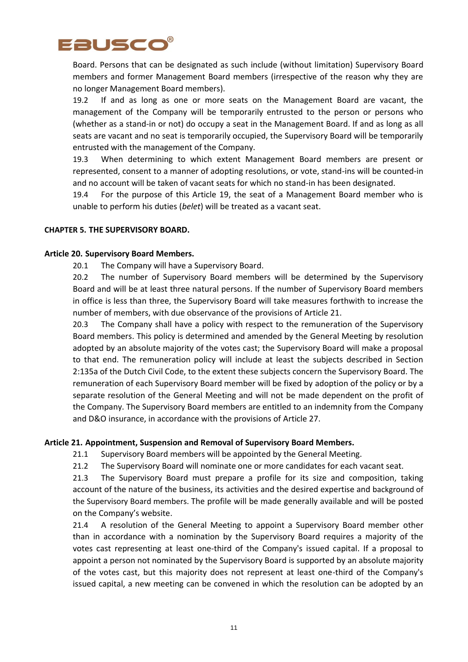

Board. Persons that can be designated as such include (without limitation) Supervisory Board members and former Management Board members (irrespective of the reason why they are no longer Management Board members).

19.2 If and as long as one or more seats on the Management Board are vacant, the management of the Company will be temporarily entrusted to the person or persons who (whether as a stand-in or not) do occupy a seat in the Management Board. If and as long as all seats are vacant and no seat is temporarily occupied, the Supervisory Board will be temporarily entrusted with the management of the Company.

19.3 When determining to which extent Management Board members are present or represented, consent to a manner of adopting resolutions, or vote, stand-ins will be counted-in and no account will be taken of vacant seats for which no stand-in has been designated.

19.4 For the purpose of this Article 19, the seat of a Management Board member who is unable to perform his duties (*belet*) will be treated as a vacant seat.

## **CHAPTER 5. THE SUPERVISORY BOARD.**

## **Article 20. Supervisory Board Members.**

20.1 The Company will have a Supervisory Board.

20.2 The number of Supervisory Board members will be determined by the Supervisory Board and will be at least three natural persons. If the number of Supervisory Board members in office is less than three, the Supervisory Board will take measures forthwith to increase the number of members, with due observance of the provisions of Article 21.

20.3 The Company shall have a policy with respect to the remuneration of the Supervisory Board members. This policy is determined and amended by the General Meeting by resolution adopted by an absolute majority of the votes cast; the Supervisory Board will make a proposal to that end. The remuneration policy will include at least the subjects described in Section 2:135a of the Dutch Civil Code, to the extent these subjects concern the Supervisory Board. The remuneration of each Supervisory Board member will be fixed by adoption of the policy or by a separate resolution of the General Meeting and will not be made dependent on the profit of the Company. The Supervisory Board members are entitled to an indemnity from the Company and D&O insurance, in accordance with the provisions of Article 27.

#### **Article 21. Appointment, Suspension and Removal of Supervisory Board Members.**

21.1 Supervisory Board members will be appointed by the General Meeting.

21.2 The Supervisory Board will nominate one or more candidates for each vacant seat.

21.3 The Supervisory Board must prepare a profile for its size and composition, taking account of the nature of the business, its activities and the desired expertise and background of the Supervisory Board members. The profile will be made generally available and will be posted on the Company's website.

21.4 A resolution of the General Meeting to appoint a Supervisory Board member other than in accordance with a nomination by the Supervisory Board requires a majority of the votes cast representing at least one-third of the Company's issued capital. If a proposal to appoint a person not nominated by the Supervisory Board is supported by an absolute majority of the votes cast, but this majority does not represent at least one-third of the Company's issued capital, a new meeting can be convened in which the resolution can be adopted by an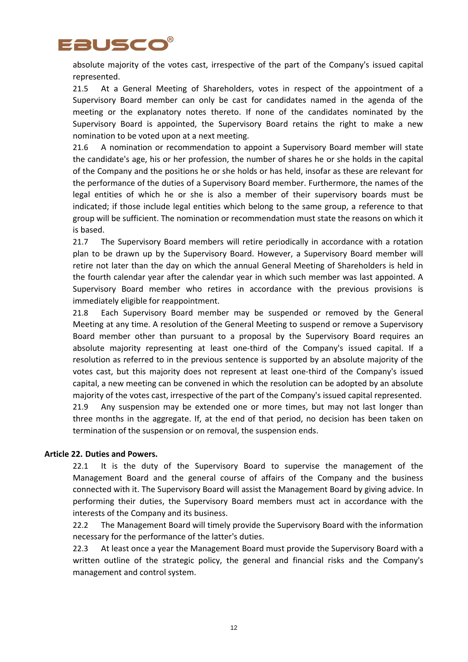

absolute majority of the votes cast, irrespective of the part of the Company's issued capital represented.

21.5 At a General Meeting of Shareholders, votes in respect of the appointment of a Supervisory Board member can only be cast for candidates named in the agenda of the meeting or the explanatory notes thereto. If none of the candidates nominated by the Supervisory Board is appointed, the Supervisory Board retains the right to make a new nomination to be voted upon at a next meeting.

21.6 A nomination or recommendation to appoint a Supervisory Board member will state the candidate's age, his or her profession, the number of shares he or she holds in the capital of the Company and the positions he or she holds or has held, insofar as these are relevant for the performance of the duties of a Supervisory Board member. Furthermore, the names of the legal entities of which he or she is also a member of their supervisory boards must be indicated; if those include legal entities which belong to the same group, a reference to that group will be sufficient. The nomination or recommendation must state the reasons on which it is based.

21.7 The Supervisory Board members will retire periodically in accordance with a rotation plan to be drawn up by the Supervisory Board. However, a Supervisory Board member will retire not later than the day on which the annual General Meeting of Shareholders is held in the fourth calendar year after the calendar year in which such member was last appointed. A Supervisory Board member who retires in accordance with the previous provisions is immediately eligible for reappointment.

21.8 Each Supervisory Board member may be suspended or removed by the General Meeting at any time. A resolution of the General Meeting to suspend or remove a Supervisory Board member other than pursuant to a proposal by the Supervisory Board requires an absolute majority representing at least one-third of the Company's issued capital. If a resolution as referred to in the previous sentence is supported by an absolute majority of the votes cast, but this majority does not represent at least one-third of the Company's issued capital, a new meeting can be convened in which the resolution can be adopted by an absolute majority of the votes cast, irrespective of the part of the Company's issued capital represented. 21.9 Any suspension may be extended one or more times, but may not last longer than three months in the aggregate. If, at the end of that period, no decision has been taken on

#### **Article 22. Duties and Powers.**

22.1 It is the duty of the Supervisory Board to supervise the management of the Management Board and the general course of affairs of the Company and the business connected with it. The Supervisory Board will assist the Management Board by giving advice. In performing their duties, the Supervisory Board members must act in accordance with the interests of the Company and its business.

termination of the suspension or on removal, the suspension ends.

22.2 The Management Board will timely provide the Supervisory Board with the information necessary for the performance of the latter's duties.

22.3 At least once a year the Management Board must provide the Supervisory Board with a written outline of the strategic policy, the general and financial risks and the Company's management and control system.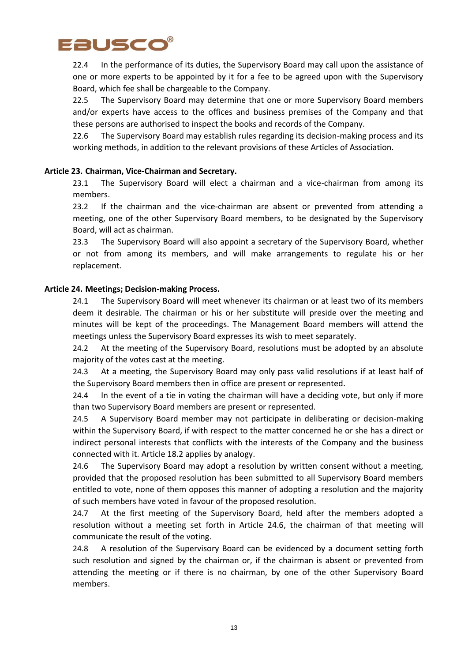

22.4 In the performance of its duties, the Supervisory Board may call upon the assistance of one or more experts to be appointed by it for a fee to be agreed upon with the Supervisory Board, which fee shall be chargeable to the Company.

22.5 The Supervisory Board may determine that one or more Supervisory Board members and/or experts have access to the offices and business premises of the Company and that these persons are authorised to inspect the books and records of the Company.

22.6 The Supervisory Board may establish rules regarding its decision-making process and its working methods, in addition to the relevant provisions of these Articles of Association.

## **Article 23. Chairman, Vice-Chairman and Secretary.**

23.1 The Supervisory Board will elect a chairman and a vice-chairman from among its members.

23.2 If the chairman and the vice-chairman are absent or prevented from attending a meeting, one of the other Supervisory Board members, to be designated by the Supervisory Board, will act as chairman.

23.3 The Supervisory Board will also appoint a secretary of the Supervisory Board, whether or not from among its members, and will make arrangements to regulate his or her replacement.

#### **Article 24. Meetings; Decision-making Process.**

24.1 The Supervisory Board will meet whenever its chairman or at least two of its members deem it desirable. The chairman or his or her substitute will preside over the meeting and minutes will be kept of the proceedings. The Management Board members will attend the meetings unless the Supervisory Board expresses its wish to meet separately.

24.2 At the meeting of the Supervisory Board, resolutions must be adopted by an absolute majority of the votes cast at the meeting.

24.3 At a meeting, the Supervisory Board may only pass valid resolutions if at least half of the Supervisory Board members then in office are present or represented.

24.4 In the event of a tie in voting the chairman will have a deciding vote, but only if more than two Supervisory Board members are present or represented.

24.5 A Supervisory Board member may not participate in deliberating or decision-making within the Supervisory Board, if with respect to the matter concerned he or she has a direct or indirect personal interests that conflicts with the interests of the Company and the business connected with it. Article 18.2 applies by analogy.

24.6 The Supervisory Board may adopt a resolution by written consent without a meeting, provided that the proposed resolution has been submitted to all Supervisory Board members entitled to vote, none of them opposes this manner of adopting a resolution and the majority of such members have voted in favour of the proposed resolution.

24.7 At the first meeting of the Supervisory Board, held after the members adopted a resolution without a meeting set forth in Article 24.6, the chairman of that meeting will communicate the result of the voting.

24.8 A resolution of the Supervisory Board can be evidenced by a document setting forth such resolution and signed by the chairman or, if the chairman is absent or prevented from attending the meeting or if there is no chairman, by one of the other Supervisory Board members.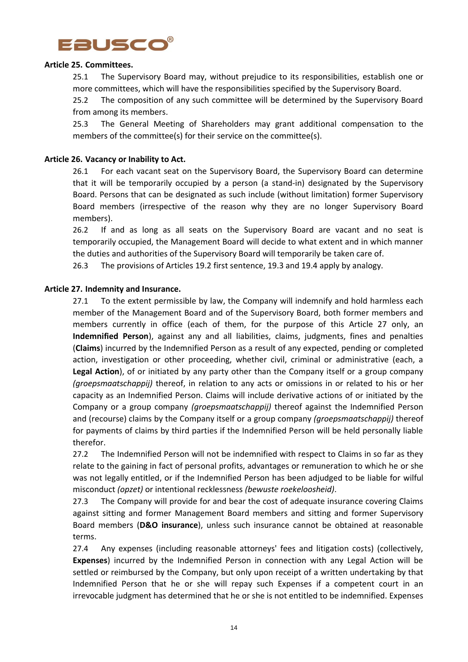

## **Article 25. Committees.**

25.1 The Supervisory Board may, without prejudice to its responsibilities, establish one or more committees, which will have the responsibilities specified by the Supervisory Board.

25.2 The composition of any such committee will be determined by the Supervisory Board from among its members.

25.3 The General Meeting of Shareholders may grant additional compensation to the members of the committee(s) for their service on the committee(s).

## **Article 26. Vacancy or Inability to Act.**

26.1 For each vacant seat on the Supervisory Board, the Supervisory Board can determine that it will be temporarily occupied by a person (a stand-in) designated by the Supervisory Board. Persons that can be designated as such include (without limitation) former Supervisory Board members (irrespective of the reason why they are no longer Supervisory Board members).

26.2 If and as long as all seats on the Supervisory Board are vacant and no seat is temporarily occupied, the Management Board will decide to what extent and in which manner the duties and authorities of the Supervisory Board will temporarily be taken care of.

26.3 The provisions of Articles 19.2 first sentence, 19.3 and 19.4 apply by analogy.

## **Article 27. Indemnity and Insurance.**

27.1 To the extent permissible by law, the Company will indemnify and hold harmless each member of the Management Board and of the Supervisory Board, both former members and members currently in office (each of them, for the purpose of this Article 27 only, an **Indemnified Person**), against any and all liabilities, claims, judgments, fines and penalties (**Claims**) incurred by the Indemnified Person as a result of any expected, pending or completed action, investigation or other proceeding, whether civil, criminal or administrative (each, a **Legal Action**), of or initiated by any party other than the Company itself or a group company *(groepsmaatschappij)* thereof, in relation to any acts or omissions in or related to his or her capacity as an Indemnified Person. Claims will include derivative actions of or initiated by the Company or a group company *(groepsmaatschappij)* thereof against the Indemnified Person and (recourse) claims by the Company itself or a group company *(groepsmaatschappij)* thereof for payments of claims by third parties if the Indemnified Person will be held personally liable therefor.

27.2 The Indemnified Person will not be indemnified with respect to Claims in so far as they relate to the gaining in fact of personal profits, advantages or remuneration to which he or she was not legally entitled, or if the Indemnified Person has been adjudged to be liable for wilful misconduct *(opzet)* or intentional recklessness *(bewuste roekeloosheid)*.

27.3 The Company will provide for and bear the cost of adequate insurance covering Claims against sitting and former Management Board members and sitting and former Supervisory Board members (**D&O insurance**), unless such insurance cannot be obtained at reasonable terms.

27.4 Any expenses (including reasonable attorneys' fees and litigation costs) (collectively, **Expenses**) incurred by the Indemnified Person in connection with any Legal Action will be settled or reimbursed by the Company, but only upon receipt of a written undertaking by that Indemnified Person that he or she will repay such Expenses if a competent court in an irrevocable judgment has determined that he or she is not entitled to be indemnified. Expenses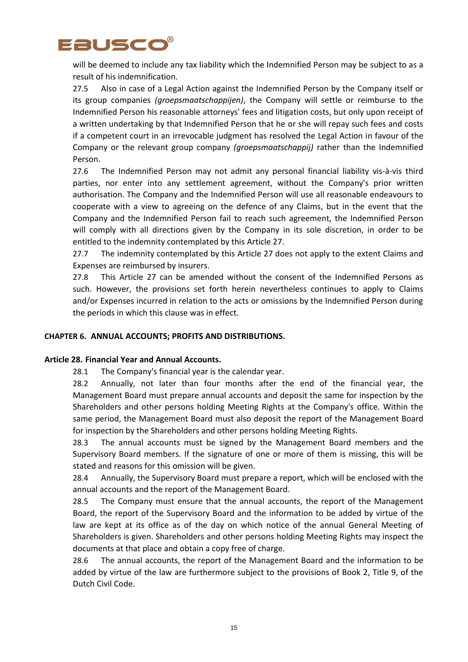

will be deemed to include any tax liability which the Indemnified Person may be subject to as a result of his indemnification.

27.5 Also in case of a Legal Action against the Indemnified Person by the Company itself or its group companies *(groepsmaatschappijen)*, the Company will settle or reimburse to the Indemnified Person his reasonable attorneys' fees and litigation costs, but only upon receipt of a written undertaking by that Indemnified Person that he or she will repay such fees and costs if a competent court in an irrevocable judgment has resolved the Legal Action in favour of the Company or the relevant group company *(groepsmaatschappij)* rather than the Indemnified Person.

27.6 The Indemnified Person may not admit any personal financial liability vis-à-vis third parties, nor enter into any settlement agreement, without the Company's prior written authorisation. The Company and the Indemnified Person will use all reasonable endeavours to cooperate with a view to agreeing on the defence of any Claims, but in the event that the Company and the Indemnified Person fail to reach such agreement, the Indemnified Person will comply with all directions given by the Company in its sole discretion, in order to be entitled to the indemnity contemplated by this Article 27.

27.7 The indemnity contemplated by this Article 27 does not apply to the extent Claims and Expenses are reimbursed by insurers.

27.8 This Article 27 can be amended without the consent of the Indemnified Persons as such. However, the provisions set forth herein nevertheless continues to apply to Claims and/or Expenses incurred in relation to the acts or omissions by the Indemnified Person during the periods in which this clause was in effect.

# **CHAPTER 6. ANNUAL ACCOUNTS; PROFITS AND DISTRIBUTIONS.**

#### **Article 28. Financial Year and Annual Accounts.**

28.1 The Company's financial year is the calendar year.

28.2 Annually, not later than four months after the end of the financial year, the Management Board must prepare annual accounts and deposit the same for inspection by the Shareholders and other persons holding Meeting Rights at the Company's office. Within the same period, the Management Board must also deposit the report of the Management Board for inspection by the Shareholders and other persons holding Meeting Rights.

28.3 The annual accounts must be signed by the Management Board members and the Supervisory Board members. If the signature of one or more of them is missing, this will be stated and reasons for this omission will be given.

28.4 Annually, the Supervisory Board must prepare a report, which will be enclosed with the annual accounts and the report of the Management Board.

28.5 The Company must ensure that the annual accounts, the report of the Management Board, the report of the Supervisory Board and the information to be added by virtue of the law are kept at its office as of the day on which notice of the annual General Meeting of Shareholders is given. Shareholders and other persons holding Meeting Rights may inspect the documents at that place and obtain a copy free of charge.

28.6 The annual accounts, the report of the Management Board and the information to be added by virtue of the law are furthermore subject to the provisions of Book 2, Title 9, of the Dutch Civil Code.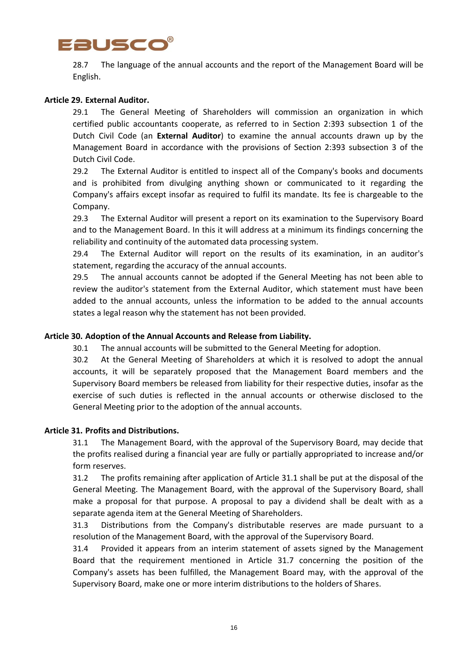

28.7 The language of the annual accounts and the report of the Management Board will be English.

# **Article 29. External Auditor.**

29.1 The General Meeting of Shareholders will commission an organization in which certified public accountants cooperate, as referred to in Section 2:393 subsection 1 of the Dutch Civil Code (an **External Auditor**) to examine the annual accounts drawn up by the Management Board in accordance with the provisions of Section 2:393 subsection 3 of the Dutch Civil Code.

29.2 The External Auditor is entitled to inspect all of the Company's books and documents and is prohibited from divulging anything shown or communicated to it regarding the Company's affairs except insofar as required to fulfil its mandate. Its fee is chargeable to the Company.

29.3 The External Auditor will present a report on its examination to the Supervisory Board and to the Management Board. In this it will address at a minimum its findings concerning the reliability and continuity of the automated data processing system.

29.4 The External Auditor will report on the results of its examination, in an auditor's statement, regarding the accuracy of the annual accounts.

29.5 The annual accounts cannot be adopted if the General Meeting has not been able to review the auditor's statement from the External Auditor, which statement must have been added to the annual accounts, unless the information to be added to the annual accounts states a legal reason why the statement has not been provided.

#### **Article 30. Adoption of the Annual Accounts and Release from Liability.**

30.1 The annual accounts will be submitted to the General Meeting for adoption.

30.2 At the General Meeting of Shareholders at which it is resolved to adopt the annual accounts, it will be separately proposed that the Management Board members and the Supervisory Board members be released from liability for their respective duties, insofar as the exercise of such duties is reflected in the annual accounts or otherwise disclosed to the General Meeting prior to the adoption of the annual accounts.

#### **Article 31. Profits and Distributions.**

31.1 The Management Board, with the approval of the Supervisory Board, may decide that the profits realised during a financial year are fully or partially appropriated to increase and/or form reserves.

31.2 The profits remaining after application of Article 31.1 shall be put at the disposal of the General Meeting. The Management Board, with the approval of the Supervisory Board, shall make a proposal for that purpose. A proposal to pay a dividend shall be dealt with as a separate agenda item at the General Meeting of Shareholders.

31.3 Distributions from the Company's distributable reserves are made pursuant to a resolution of the Management Board, with the approval of the Supervisory Board.

31.4 Provided it appears from an interim statement of assets signed by the Management Board that the requirement mentioned in Article 31.7 concerning the position of the Company's assets has been fulfilled, the Management Board may, with the approval of the Supervisory Board, make one or more interim distributions to the holders of Shares.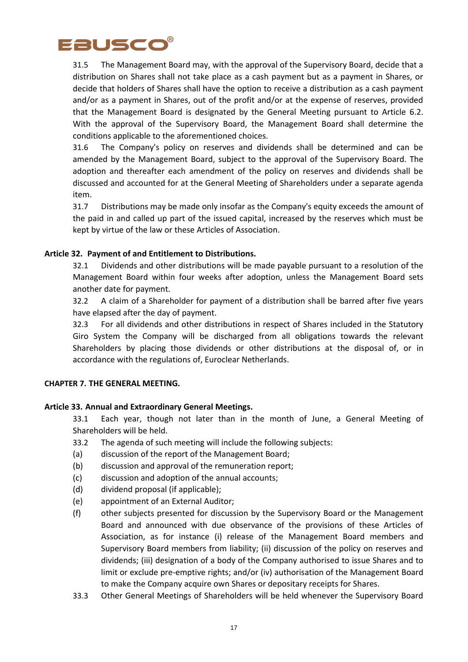

31.5 The Management Board may, with the approval of the Supervisory Board, decide that a distribution on Shares shall not take place as a cash payment but as a payment in Shares, or decide that holders of Shares shall have the option to receive a distribution as a cash payment and/or as a payment in Shares, out of the profit and/or at the expense of reserves, provided that the Management Board is designated by the General Meeting pursuant to Article 6.2. With the approval of the Supervisory Board, the Management Board shall determine the conditions applicable to the aforementioned choices.

31.6 The Company's policy on reserves and dividends shall be determined and can be amended by the Management Board, subject to the approval of the Supervisory Board. The adoption and thereafter each amendment of the policy on reserves and dividends shall be discussed and accounted for at the General Meeting of Shareholders under a separate agenda item.

31.7 Distributions may be made only insofar as the Company's equity exceeds the amount of the paid in and called up part of the issued capital, increased by the reserves which must be kept by virtue of the law or these Articles of Association.

# **Article 32. Payment of and Entitlement to Distributions.**

32.1 Dividends and other distributions will be made payable pursuant to a resolution of the Management Board within four weeks after adoption, unless the Management Board sets another date for payment.

32.2 A claim of a Shareholder for payment of a distribution shall be barred after five years have elapsed after the day of payment.

32.3 For all dividends and other distributions in respect of Shares included in the Statutory Giro System the Company will be discharged from all obligations towards the relevant Shareholders by placing those dividends or other distributions at the disposal of, or in accordance with the regulations of, Euroclear Netherlands.

#### **CHAPTER 7. THE GENERAL MEETING.**

# **Article 33. Annual and Extraordinary General Meetings.**

33.1 Each year, though not later than in the month of June, a General Meeting of Shareholders will be held.

- 33.2 The agenda of such meeting will include the following subjects:
- (a) discussion of the report of the Management Board;
- (b) discussion and approval of the remuneration report;
- (c) discussion and adoption of the annual accounts;
- (d) dividend proposal (if applicable);
- (e) appointment of an External Auditor;
- (f) other subjects presented for discussion by the Supervisory Board or the Management Board and announced with due observance of the provisions of these Articles of Association, as for instance (i) release of the Management Board members and Supervisory Board members from liability; (ii) discussion of the policy on reserves and dividends; (iii) designation of a body of the Company authorised to issue Shares and to limit or exclude pre-emptive rights; and/or (iv) authorisation of the Management Board to make the Company acquire own Shares or depositary receipts for Shares.
- 33.3 Other General Meetings of Shareholders will be held whenever the Supervisory Board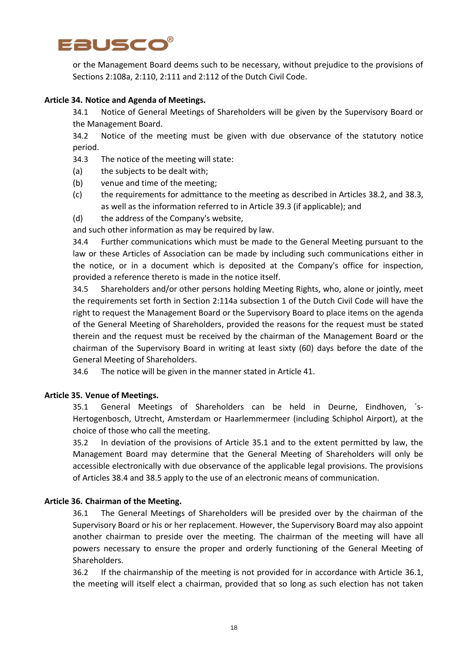

or the Management Board deems such to be necessary, without prejudice to the provisions of Sections 2:108a, 2:110, 2:111 and 2:112 of the Dutch Civil Code.

## **Article 34. Notice and Agenda of Meetings.**

34.1 Notice of General Meetings of Shareholders will be given by the Supervisory Board or the Management Board.

34.2 Notice of the meeting must be given with due observance of the statutory notice period.

- 34.3 The notice of the meeting will state:
- (a) the subjects to be dealt with;
- (b) venue and time of the meeting;
- (c) the requirements for admittance to the meeting as described in Articles 38.2, and 38.3, as well as the information referred to in Article 39.3 (if applicable); and
- (d) the address of the Company's website,

and such other information as may be required by law.

34.4 Further communications which must be made to the General Meeting pursuant to the law or these Articles of Association can be made by including such communications either in the notice, or in a document which is deposited at the Company's office for inspection, provided a reference thereto is made in the notice itself.

34.5 Shareholders and/or other persons holding Meeting Rights, who, alone or jointly, meet the requirements set forth in Section 2:114a subsection 1 of the Dutch Civil Code will have the right to request the Management Board or the Supervisory Board to place items on the agenda of the General Meeting of Shareholders, provided the reasons for the request must be stated therein and the request must be received by the chairman of the Management Board or the chairman of the Supervisory Board in writing at least sixty (60) days before the date of the General Meeting of Shareholders.

34.6 The notice will be given in the manner stated in Article 41.

#### **Article 35. Venue of Meetings.**

35.1 General Meetings of Shareholders can be held in Deurne, Eindhoven, ´s-Hertogenbosch, Utrecht, Amsterdam or Haarlemmermeer (including Schiphol Airport), at the choice of those who call the meeting.

35.2 In deviation of the provisions of Article 35.1 and to the extent permitted by law, the Management Board may determine that the General Meeting of Shareholders will only be accessible electronically with due observance of the applicable legal provisions. The provisions of Articles 38.4 and 38.5 apply to the use of an electronic means of communication.

#### **Article 36. Chairman of the Meeting.**

36.1 The General Meetings of Shareholders will be presided over by the chairman of the Supervisory Board or his or her replacement. However, the Supervisory Board may also appoint another chairman to preside over the meeting. The chairman of the meeting will have all powers necessary to ensure the proper and orderly functioning of the General Meeting of Shareholders.

36.2 If the chairmanship of the meeting is not provided for in accordance with Article 36.1, the meeting will itself elect a chairman, provided that so long as such election has not taken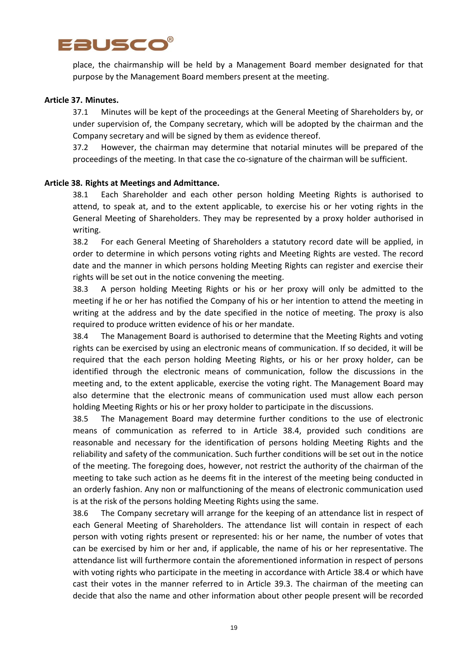

place, the chairmanship will be held by a Management Board member designated for that purpose by the Management Board members present at the meeting.

#### **Article 37. Minutes.**

37.1 Minutes will be kept of the proceedings at the General Meeting of Shareholders by, or under supervision of, the Company secretary, which will be adopted by the chairman and the Company secretary and will be signed by them as evidence thereof.

37.2 However, the chairman may determine that notarial minutes will be prepared of the proceedings of the meeting. In that case the co-signature of the chairman will be sufficient.

#### **Article 38. Rights at Meetings and Admittance.**

38.1 Each Shareholder and each other person holding Meeting Rights is authorised to attend, to speak at, and to the extent applicable, to exercise his or her voting rights in the General Meeting of Shareholders. They may be represented by a proxy holder authorised in writing.

38.2 For each General Meeting of Shareholders a statutory record date will be applied, in order to determine in which persons voting rights and Meeting Rights are vested. The record date and the manner in which persons holding Meeting Rights can register and exercise their rights will be set out in the notice convening the meeting.

38.3 A person holding Meeting Rights or his or her proxy will only be admitted to the meeting if he or her has notified the Company of his or her intention to attend the meeting in writing at the address and by the date specified in the notice of meeting. The proxy is also required to produce written evidence of his or her mandate.

38.4 The Management Board is authorised to determine that the Meeting Rights and voting rights can be exercised by using an electronic means of communication. If so decided, it will be required that the each person holding Meeting Rights, or his or her proxy holder, can be identified through the electronic means of communication, follow the discussions in the meeting and, to the extent applicable, exercise the voting right. The Management Board may also determine that the electronic means of communication used must allow each person holding Meeting Rights or his or her proxy holder to participate in the discussions.

38.5 The Management Board may determine further conditions to the use of electronic means of communication as referred to in Article 38.4, provided such conditions are reasonable and necessary for the identification of persons holding Meeting Rights and the reliability and safety of the communication. Such further conditions will be set out in the notice of the meeting. The foregoing does, however, not restrict the authority of the chairman of the meeting to take such action as he deems fit in the interest of the meeting being conducted in an orderly fashion. Any non or malfunctioning of the means of electronic communication used is at the risk of the persons holding Meeting Rights using the same.

38.6 The Company secretary will arrange for the keeping of an attendance list in respect of each General Meeting of Shareholders. The attendance list will contain in respect of each person with voting rights present or represented: his or her name, the number of votes that can be exercised by him or her and, if applicable, the name of his or her representative. The attendance list will furthermore contain the aforementioned information in respect of persons with voting rights who participate in the meeting in accordance with Article 38.4 or which have cast their votes in the manner referred to in Article 39.3. The chairman of the meeting can decide that also the name and other information about other people present will be recorded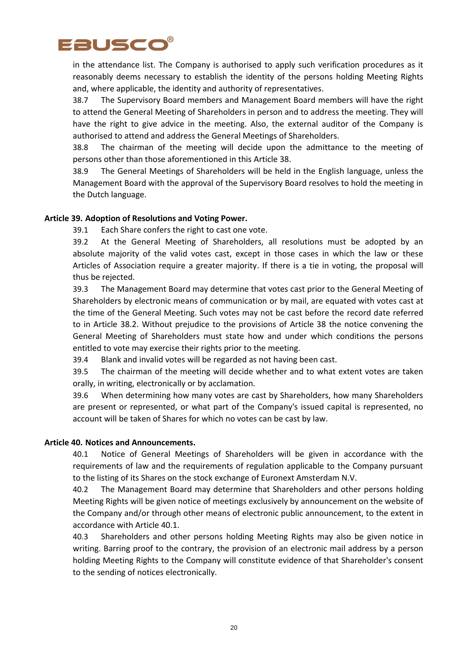

in the attendance list. The Company is authorised to apply such verification procedures as it reasonably deems necessary to establish the identity of the persons holding Meeting Rights and, where applicable, the identity and authority of representatives.

38.7 The Supervisory Board members and Management Board members will have the right to attend the General Meeting of Shareholders in person and to address the meeting. They will have the right to give advice in the meeting. Also, the external auditor of the Company is authorised to attend and address the General Meetings of Shareholders.

38.8 The chairman of the meeting will decide upon the admittance to the meeting of persons other than those aforementioned in this Article 38.

38.9 The General Meetings of Shareholders will be held in the English language, unless the Management Board with the approval of the Supervisory Board resolves to hold the meeting in the Dutch language.

## **Article 39. Adoption of Resolutions and Voting Power.**

39.1 Each Share confers the right to cast one vote.

39.2 At the General Meeting of Shareholders, all resolutions must be adopted by an absolute majority of the valid votes cast, except in those cases in which the law or these Articles of Association require a greater majority. If there is a tie in voting, the proposal will thus be rejected.

39.3 The Management Board may determine that votes cast prior to the General Meeting of Shareholders by electronic means of communication or by mail, are equated with votes cast at the time of the General Meeting. Such votes may not be cast before the record date referred to in Article 38.2. Without prejudice to the provisions of Article 38 the notice convening the General Meeting of Shareholders must state how and under which conditions the persons entitled to vote may exercise their rights prior to the meeting.

39.4 Blank and invalid votes will be regarded as not having been cast.

39.5 The chairman of the meeting will decide whether and to what extent votes are taken orally, in writing, electronically or by acclamation.

39.6 When determining how many votes are cast by Shareholders, how many Shareholders are present or represented, or what part of the Company's issued capital is represented, no account will be taken of Shares for which no votes can be cast by law.

#### **Article 40. Notices and Announcements.**

40.1 Notice of General Meetings of Shareholders will be given in accordance with the requirements of law and the requirements of regulation applicable to the Company pursuant to the listing of its Shares on the stock exchange of Euronext Amsterdam N.V.

40.2 The Management Board may determine that Shareholders and other persons holding Meeting Rights will be given notice of meetings exclusively by announcement on the website of the Company and/or through other means of electronic public announcement, to the extent in accordance with Article 40.1.

40.3 Shareholders and other persons holding Meeting Rights may also be given notice in writing. Barring proof to the contrary, the provision of an electronic mail address by a person holding Meeting Rights to the Company will constitute evidence of that Shareholder's consent to the sending of notices electronically.